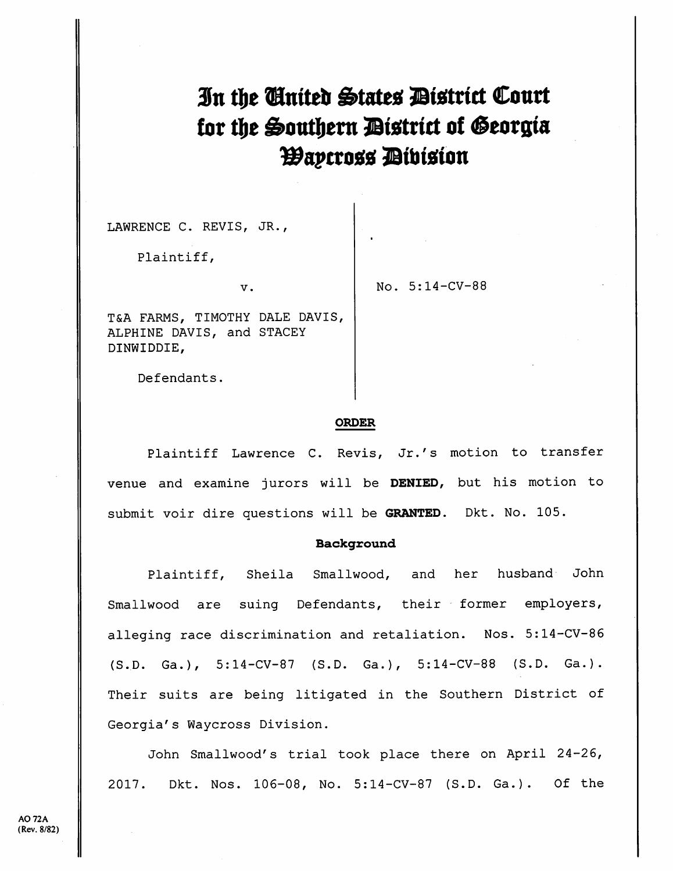# In the Cinited States District Court tor the Southern District of Georgia *Waycross Dibision*

LAWRENCE C. REVIS, JR.,

Plaintiff,

V.

No. 5:14-CV-88

T&A FARMS, TIMOTHY DALE DAVIS, ALPHINE DAVIS, and STACEY DINWIDDIE,

Defendants.

#### ORDER

Plaintiff Lawrence C. Revis, Jr.'s motion to transfer venue and examine jurors will be DENIED, but his motion to submit voir dire questions will be GRANTED. Dkt. No. 105.

# Background

Plaintiff, Sheila Smallwood, and her husband John Smallwood are suing Defendants, their former employers, alleging race discrimination and retaliation. Nos. 5:14-CV-86 {S.D. Ga.), 5:14-CV-87 (S.D. Ga.), 5:14-CV-88 (S.D. Ga.). Their suits are being litigated in the Southern District of Georgia's Waycross Division.

John Smallwood's trial took place there on April 24-26, 2017. Dkt. Nos. 106-08, No. 5:14-CV-87 (S.D. Ga.). Of the

[Dockets.Justia.com](https://dockets.justia.com/)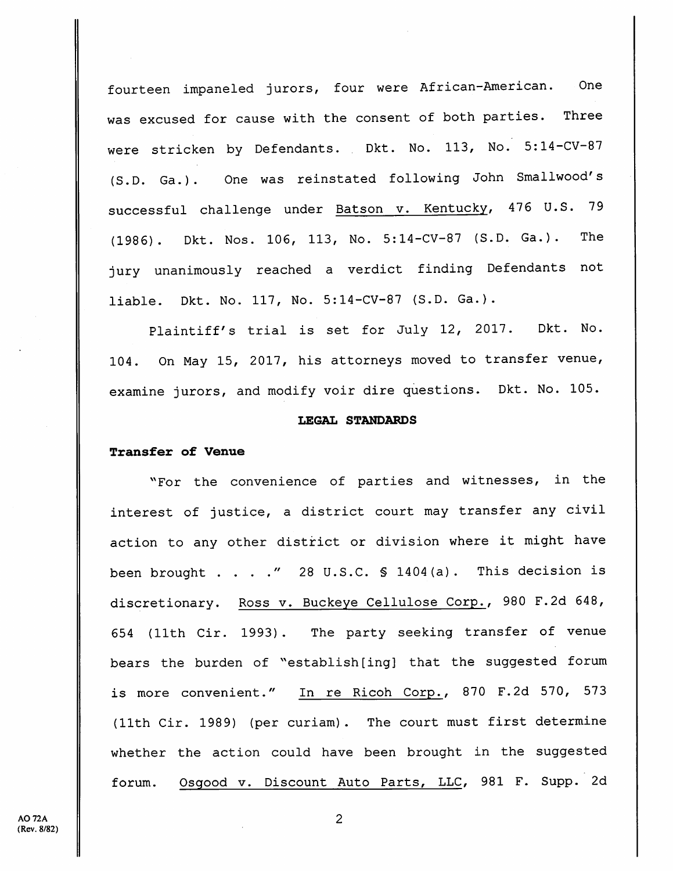fourteen impaneled jurors, four were African-American. One was excused for cause with the consent of both parties. Three were stricken by Defendants. Dkt. No. 113, No. 5:14-CV-87 (S.D. Ga.). One was reinstated following John Smallwood's successful challenge under Batson v. Kentucky, 476 U.S. 79 (1986). Dkt. Nos. 106, 113, No. 5:14-CV-87 (S.D. Ga.). The jury unanimously reached a verdict finding Defendants not liable. Dkt. No. 117, No. 5:14-CV-87 (S.D. Ga.).

Plaintiff's trial is set for July 12, 2017. Dkt. No. 104. On May 15, 2017, his attorneys moved to transfer venue, examine jurors, and modify voir dire questions. Dkt. No. 105.

## LEGAL STANDARDS

# Transfer of Venue

"For the convenience of parties and witnesses, in the interest of justice, a district court may transfer any civil action to any other district or division where it might have been brought . . . ." 28 U.S.C.  $\ S$  1404(a). This decision is discretionary. Ross v. Buckeye Cellulose Corp., 980 F.2d 648, 654 (11th Cir. 1993). The party seeking transfer of venue bears the burden of "establish[ing] that the suggested forum is more convenient." In re Ricoh Corp., 870 F.2d 570, 573 (11th Cir. 1989) (per curiam). The court must first determine whether the action could have been brought in the suggested forum. Osqood v. Discount Auto Parts, LLC, 981 F. Supp. 2d

 $\overline{2}$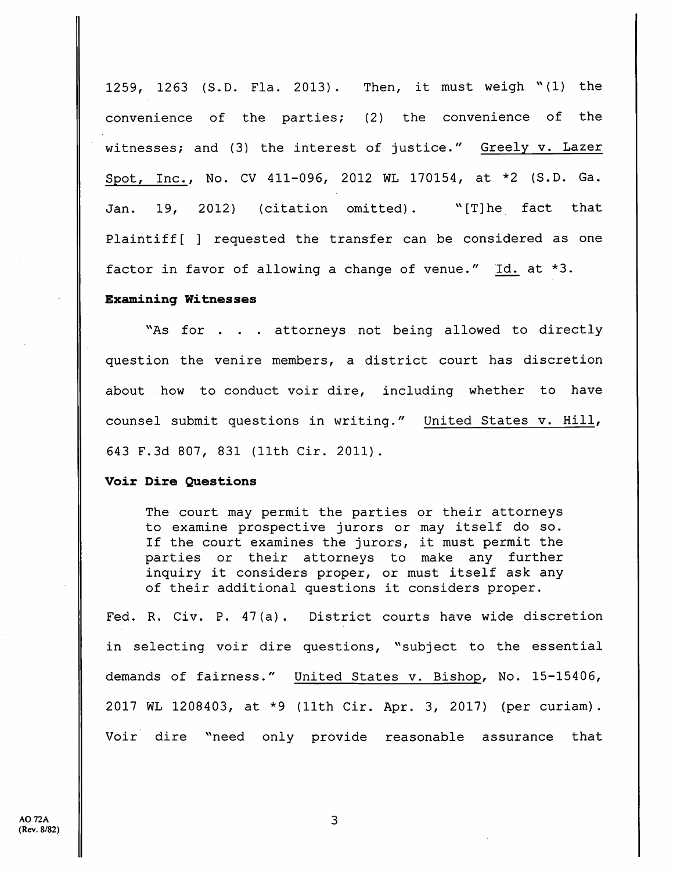1259, 1263 (S.D. Fla. 2013). Then, it must weigh "(1) the convenience of the parties; (2) the convenience of the witnesses; and (3) the interest of justice." Greely v. Lazer Spot, Inc., No. CV 411-096, 2012 WL 170154, at \*2 (S.D. Ga. Jan. 19, 2012) (citation omitted).  $\sqrt{r}$  (T]he fact that Plaintiff [ ] requested the transfer can be considered as one factor in favor of allowing <sup>a</sup> change of venue." Id. at \*3.

## Examining Witnesses

"As for . . . attorneys not being allowed to directly question the venire members, <sup>a</sup> district court has discretion about how to conduct voir dire, including whether to have counsel submit questions in writing." United States v. Hill, 643 F.3d 807, 831 (11th Cir. 2011).

# Voir Dire Questions

The court may permit the parties or their attorneys to examine prospective jurors or may itself do so. If the court examines the jurors, it must permit the parties or their attorneys to make any further inquiry it considers proper, or must itself ask any of their additional questions it considers proper.

Fed. R. Civ. P. 47(a). District courts have wide discretion in selecting voir dire questions, "subject to the essential demands of fairness." United States v. Bishop, No. 15-15406, 2017 WL 1208403, at \*9 (11th Cir. Apr. 3, 2017) (per curiam). Voir dire "need only provide reasonable assurance that

 $\overline{3}$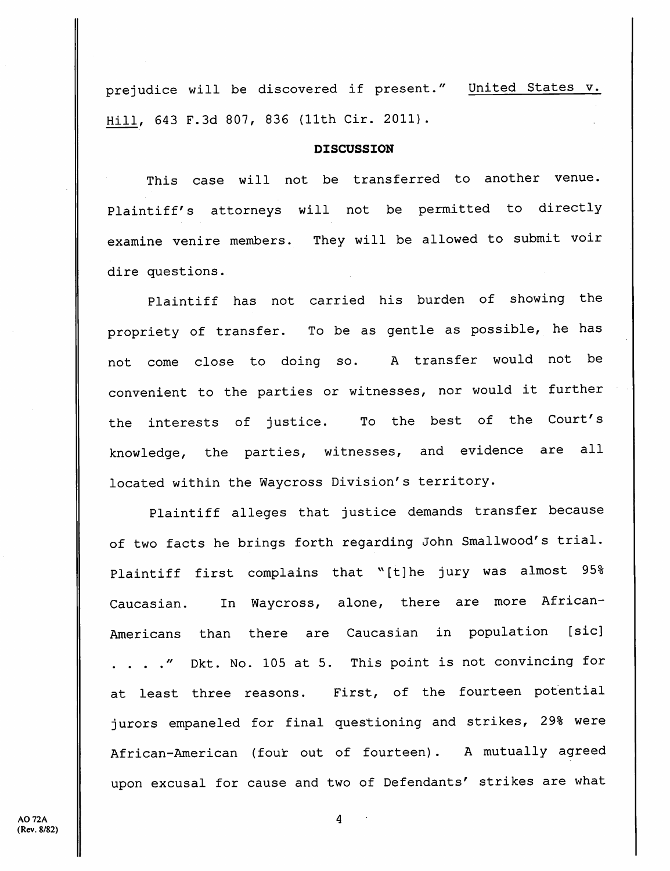prejudice will be discovered if present." United States v. Hill, 643 F.Sd 807, 836 (llth Cir. 2011).

# DISCUSSION

This case will not be transferred to another venue. Plaintiff's attorneys will not be permitted to directly examine venire members. They will be allowed to submit voir dire questions.

Plaintiff has not carried his burden of showing the propriety of transfer. To be as gentle as possible, he has not come close to doing so. A transfer would not be convenient to the parties or witnesses, nor would it further the interests of justice. To the best of the Court's knowledge, the parties, witnesses, and evidence are all located within the Waycross Division's territory.

Plaintiff alleges that justice demands transfer because of two facts he brings forth regarding John Smallwood's trial. Plaintiff first complains that "[t]he jury was almost 95% Caucasian. In Waycross, alone, there are more African-Americans than there are Caucasian in population [sic] . . . . " Dkt. No. 105 at 5. This point is not convincing for at least three reasons. First, of the fourteen potential jurors empaneled for final questioning and strikes, 29% were African-American (four out of fourteen). A mutually agreed upon excusal for cause and two of Defendants' strikes are what

**AO 72A** (Rev. 8/82)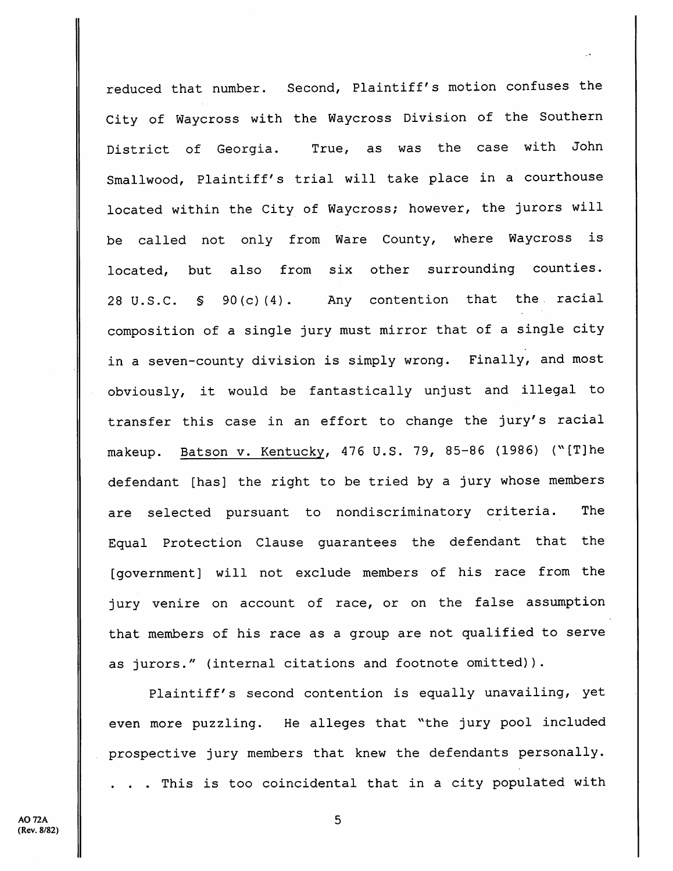reduced that number. Second, Plaintiff's motion confuses the City of Waycross with the Waycross Division of the Southern District of Georgia. True, as was the case with John Smallwood, Plaintiff's trial will take place in <sup>a</sup> courthouse located within the City of Waycross; however, the jurors will be called not only from Ware County, where Waycross is located, but also from six other surrounding counties. 28 U.S.C. § 90(c)(4). Any contention that the. racial composition of a single jury must mirror that of a single city in <sup>a</sup> seven-county division is simply wrong. Finally, and most obviously, it would be fantastically unjust and illegal to transfer this case in an effort to change the jury's racial makeup. Batson v. Kentucky, 476 U.S. 79, 85-86 (1986) (^'[T]he defendant [has] the right to be tried by <sup>a</sup> jury whose members are selected pursuant to nondiscriminatory criteria. The Equal Protection Clause guarantees the defendant that the [government] will not exclude members of his race from the jury venire on account of race, or on the false assumption that members of his race as <sup>a</sup> group are not qualified to serve as jurors." (internal citations and footnote omitted)).

Plaintiff's second contention is equally unavailing, yet even more puzzling. He alleges that "the jury pool included prospective jury members that knew the defendants personally. . . . This is too coincidental that in <sup>a</sup> city populated with

5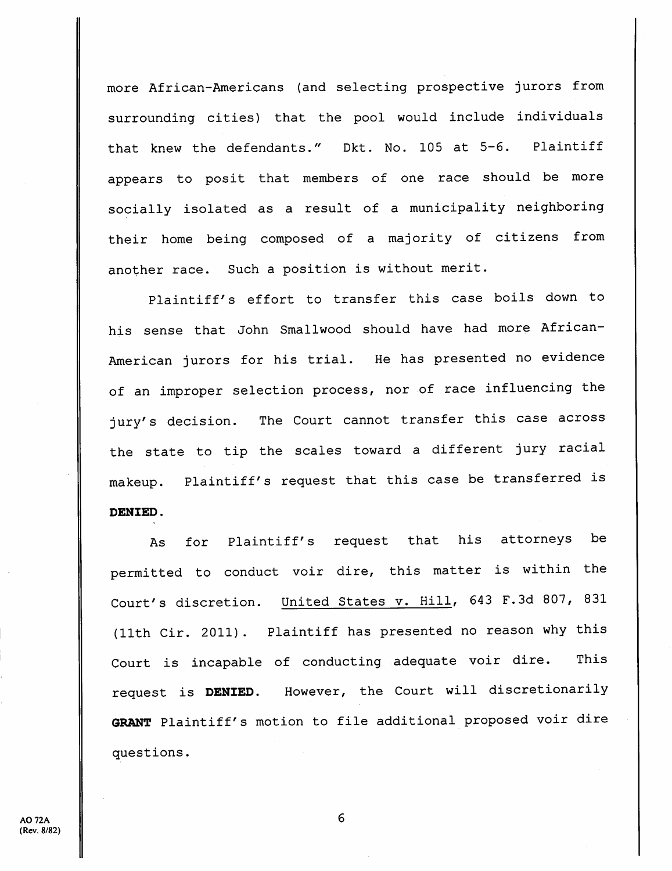more African-Americans (and selecting prospective jurors from surrounding cities) that the pool would include individuals that knew the defendants." Dkt. No. 105 at 5-6. Plaintiff appears to posit that members of one race should be more socially isolated as a result of a municipality neighboring their home being composed of a majority of citizens from another race. Such <sup>a</sup> position is without merit.

Plaintiff's effort to transfer this case boils down to his sense that John Smallwood should have had more African-American jurors for his trial. He has presented no evidence of an improper selection process, nor of race influencing the jury's decision. The Court cannot transfer this case across the state to tip the scales toward a different jury racial makeup. Plaintiff's request that this case be transferred is DENIED.

As for Plaintiff's request that his attorneys be permitted to conduct voir dire, this matter is within the Court's discretion. United States v. Hill, 643 F.Sd 807, 831 (11th Cir. 2011). Plaintiff has presented no reason why this Court is incapable of conducting adequate voir dire. This request is DENIED. However, the Court will discretionarily GRANT Plaintiff's motion to file additional proposed voir dire questions.

6